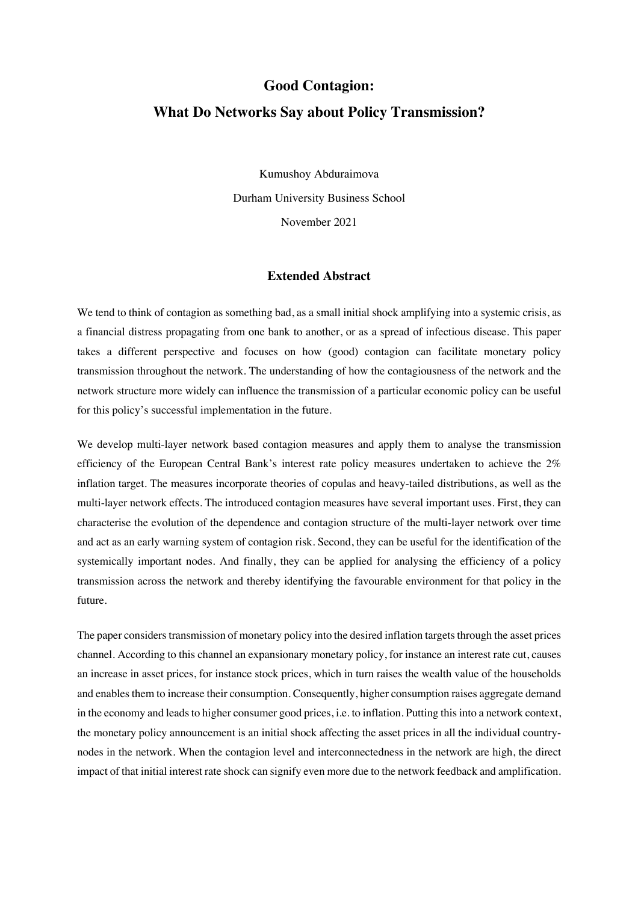# **Good Contagion: What Do Networks Say about Policy Transmission?**

Kumushoy Abduraimova Durham University Business School November 2021

## **Extended Abstract**

We tend to think of contagion as something bad, as a small initial shock amplifying into a systemic crisis, as a financial distress propagating from one bank to another, or as a spread of infectious disease. This paper takes a different perspective and focuses on how (good) contagion can facilitate monetary policy transmission throughout the network. The understanding of how the contagiousness of the network and the network structure more widely can influence the transmission of a particular economic policy can be useful for this policy's successful implementation in the future.

We develop multi-layer network based contagion measures and apply them to analyse the transmission efficiency of the European Central Bank's interest rate policy measures undertaken to achieve the 2% inflation target. The measures incorporate theories of copulas and heavy-tailed distributions, as well as the multi-layer network effects. The introduced contagion measures have several important uses. First, they can characterise the evolution of the dependence and contagion structure of the multi-layer network over time and act as an early warning system of contagion risk. Second, they can be useful for the identification of the systemically important nodes. And finally, they can be applied for analysing the efficiency of a policy transmission across the network and thereby identifying the favourable environment for that policy in the future.

The paper considers transmission of monetary policy into the desired inflation targets through the asset prices channel. According to this channel an expansionary monetary policy, for instance an interest rate cut, causes an increase in asset prices, for instance stock prices, which in turn raises the wealth value of the households and enables them to increase their consumption. Consequently, higher consumption raises aggregate demand in the economy and leads to higher consumer good prices, i.e. to inflation. Putting this into a network context, the monetary policy announcement is an initial shock affecting the asset prices in all the individual countrynodes in the network. When the contagion level and interconnectedness in the network are high, the direct impact of that initial interest rate shock can signify even more due to the network feedback and amplification.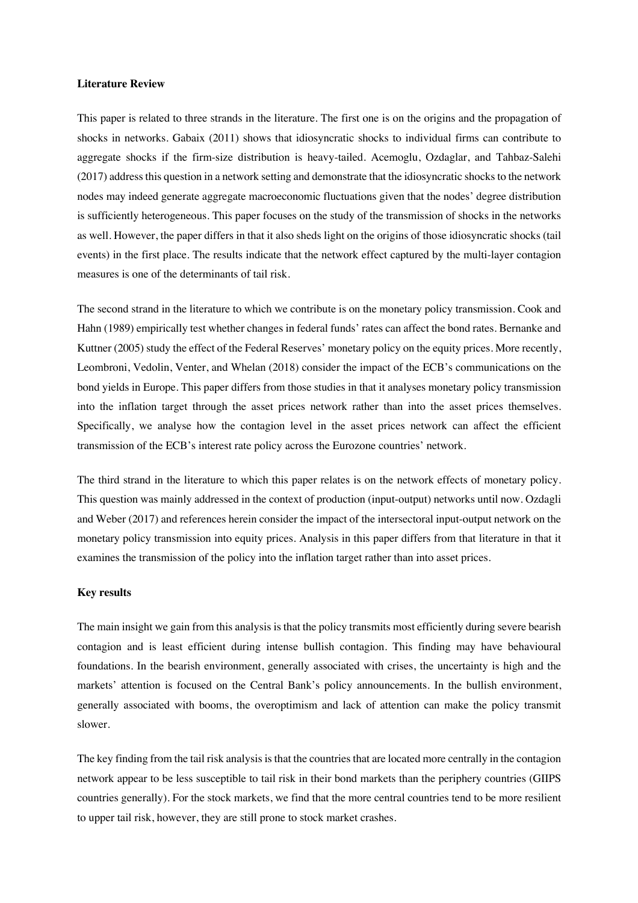#### **Literature Review**

This paper is related to three strands in the literature. The first one is on the origins and the propagation of shocks in networks. Gabaix (2011) shows that idiosyncratic shocks to individual firms can contribute to aggregate shocks if the firm-size distribution is heavy-tailed. Acemoglu, Ozdaglar, and Tahbaz-Salehi (2017) address this question in a network setting and demonstrate that the idiosyncratic shocks to the network nodes may indeed generate aggregate macroeconomic fluctuations given that the nodes' degree distribution is sufficiently heterogeneous. This paper focuses on the study of the transmission of shocks in the networks as well. However, the paper differs in that it also sheds light on the origins of those idiosyncratic shocks (tail events) in the first place. The results indicate that the network effect captured by the multi-layer contagion measures is one of the determinants of tail risk.

The second strand in the literature to which we contribute is on the monetary policy transmission. Cook and Hahn (1989) empirically test whether changes in federal funds' rates can affect the bond rates. Bernanke and Kuttner (2005) study the effect of the Federal Reserves' monetary policy on the equity prices. More recently, Leombroni, Vedolin, Venter, and Whelan (2018) consider the impact of the ECB's communications on the bond yields in Europe. This paper differs from those studies in that it analyses monetary policy transmission into the inflation target through the asset prices network rather than into the asset prices themselves. Specifically, we analyse how the contagion level in the asset prices network can affect the efficient transmission of the ECB's interest rate policy across the Eurozone countries' network.

The third strand in the literature to which this paper relates is on the network effects of monetary policy. This question was mainly addressed in the context of production (input-output) networks until now. Ozdagli and Weber (2017) and references herein consider the impact of the intersectoral input-output network on the monetary policy transmission into equity prices. Analysis in this paper differs from that literature in that it examines the transmission of the policy into the inflation target rather than into asset prices.

### **Key results**

The main insight we gain from this analysis is that the policy transmits most efficiently during severe bearish contagion and is least efficient during intense bullish contagion. This finding may have behavioural foundations. In the bearish environment, generally associated with crises, the uncertainty is high and the markets' attention is focused on the Central Bank's policy announcements. In the bullish environment, generally associated with booms, the overoptimism and lack of attention can make the policy transmit slower.

The key finding from the tail risk analysisis that the countries that are located more centrally in the contagion network appear to be less susceptible to tail risk in their bond markets than the periphery countries (GIIPS countries generally). For the stock markets, we find that the more central countries tend to be more resilient to upper tail risk, however, they are still prone to stock market crashes.